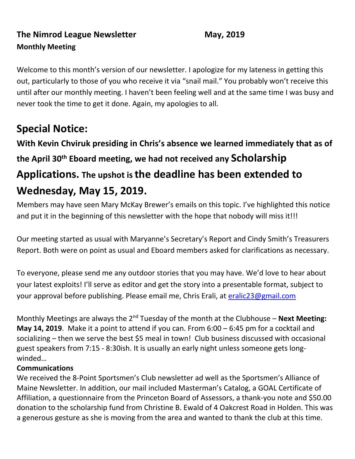# **The Nimrod League Newsletter May, 2019 Monthly Meeting**

Welcome to this month's version of our newsletter. I apologize for my lateness in getting this out, particularly to those of you who receive it via "snail mail." You probably won't receive this until after our monthly meeting. I haven't been feeling well and at the same time I was busy and never took the time to get it done. Again, my apologies to all.

# **Special Notice:**

**With Kevin Chviruk presiding in Chris's absence we learned immediately that as of the April 30th Eboard meeting, we had not received any Scholarship Applications. The upshot is the deadline has been extended to Wednesday, May 15, 2019.**

Members may have seen Mary McKay Brewer's emails on this topic. I've highlighted this notice and put it in the beginning of this newsletter with the hope that nobody will miss it!!!

Our meeting started as usual with Maryanne's Secretary's Report and Cindy Smith's Treasurers Report. Both were on point as usual and Eboard members asked for clarifications as necessary.

To everyone, please send me any outdoor stories that you may have. We'd love to hear about your latest exploits! I'll serve as editor and get the story into a presentable format, subject to your approval before publishing. Please email me, Chris Erali, at [eralic23@gmail.com](mailto:eralic23@gmail.com)

Monthly Meetings are always the 2<sup>nd</sup> Tuesday of the month at the Clubhouse – **Next Meeting: May 14, 2019**. Make it a point to attend if you can. From 6:00 – 6:45 pm for a cocktail and socializing – then we serve the best \$5 meal in town! Club business discussed with occasional guest speakers from 7:15 - 8:30ish. It is usually an early night unless someone gets longwinded…

### **Communications**

We received the 8-Point Sportsmen's Club newsletter ad well as the Sportsmen's Alliance of Maine Newsletter. In addition, our mail included Masterman's Catalog, a GOAL Certificate of Affiliation, a questionnaire from the Princeton Board of Assessors, a thank-you note and \$50.00 donation to the scholarship fund from Christine B. Ewald of 4 Oakcrest Road in Holden. This was a generous gesture as she is moving from the area and wanted to thank the club at this time.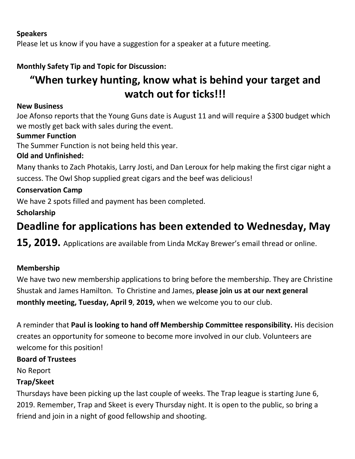### **Speakers**

Please let us know if you have a suggestion for a speaker at a future meeting.

## **Monthly Safety Tip and Topic for Discussion:**

# **"When turkey hunting, know what is behind your target and watch out for ticks!!!**

#### **New Business**

Joe Afonso reports that the Young Guns date is August 11 and will require a \$300 budget which we mostly get back with sales during the event.

### **Summer Function**

The Summer Function is not being held this year.

### **Old and Unfinished:**

Many thanks to Zach Photakis, Larry Josti, and Dan Leroux for help making the first cigar night a success. The Owl Shop supplied great cigars and the beef was delicious!

### **Conservation Camp**

We have 2 spots filled and payment has been completed.

**Scholarship** 

# **Deadline for applications has been extended to Wednesday, May**

**15, 2019.** Applications are available from Linda McKay Brewer's email thread or online.

#### **Membership**

We have two new membership applications to bring before the membership. They are Christine Shustak and James Hamilton. To Christine and James, **please join us at our next general monthly meeting, Tuesday, April 9**, **2019,** when we welcome you to our club.

A reminder that **Paul is looking to hand off Membership Committee responsibility.** His decision creates an opportunity for someone to become more involved in our club. Volunteers are welcome for this position!

#### **Board of Trustees**

No Report

#### **Trap/Skeet**

Thursdays have been picking up the last couple of weeks. The Trap league is starting June 6, 2019. Remember, Trap and Skeet is every Thursday night. It is open to the public, so bring a friend and join in a night of good fellowship and shooting.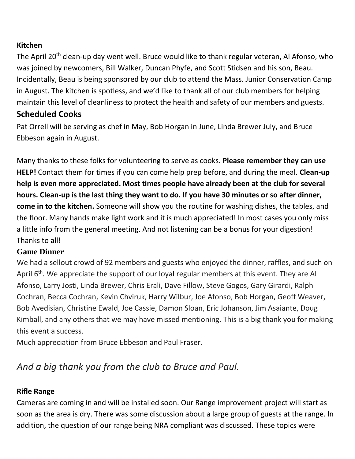### **Kitchen**

The April 20<sup>th</sup> clean-up day went well. Bruce would like to thank regular veteran, Al Afonso, who was joined by newcomers, Bill Walker, Duncan Phyfe, and Scott Stidsen and his son, Beau. Incidentally, Beau is being sponsored by our club to attend the Mass. Junior Conservation Camp in August. The kitchen is spotless, and we'd like to thank all of our club members for helping maintain this level of cleanliness to protect the health and safety of our members and guests.

# **Scheduled Cooks**

Pat Orrell will be serving as chef in May, Bob Horgan in June, Linda Brewer July, and Bruce Ebbeson again in August.

Many thanks to these folks for volunteering to serve as cooks. **Please remember they can use HELP!** Contact them for times if you can come help prep before, and during the meal. **Clean-up help is even more appreciated. Most times people have already been at the club for several hours. Clean-up is the last thing they want to do. If you have 30 minutes or so after dinner, come in to the kitchen.** Someone will show you the routine for washing dishes, the tables, and the floor. Many hands make light work and it is much appreciated! In most cases you only miss a little info from the general meeting. And not listening can be a bonus for your digestion! Thanks to all!

### **Game Dinner**

We had a sellout crowd of 92 members and guests who enjoyed the dinner, raffles, and such on April  $6<sup>th</sup>$ . We appreciate the support of our loyal regular members at this event. They are Al Afonso, Larry Josti, Linda Brewer, Chris Erali, Dave Fillow, Steve Gogos, Gary Girardi, Ralph Cochran, Becca Cochran, Kevin Chviruk, Harry Wilbur, Joe Afonso, Bob Horgan, Geoff Weaver, Bob Avedisian, Christine Ewald, Joe Cassie, Damon Sloan, Eric Johanson, Jim Asaiante, Doug Kimball, and any others that we may have missed mentioning. This is a big thank you for making this event a success.

Much appreciation from Bruce Ebbeson and Paul Fraser.

# *And a big thank you from the club to Bruce and Paul.*

### **Rifle Range**

Cameras are coming in and will be installed soon. Our Range improvement project will start as soon as the area is dry. There was some discussion about a large group of guests at the range. In addition, the question of our range being NRA compliant was discussed. These topics were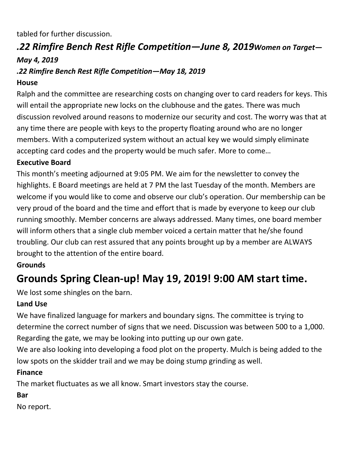tabled for further discussion.

# *.22 Rimfire Bench Rest Rifle Competition—June 8, 2019Women on Target— May 4, 2019*

### *.22 Rimfire Bench Rest Rifle Competition—May 18, 2019*

### **House**

Ralph and the committee are researching costs on changing over to card readers for keys. This will entail the appropriate new locks on the clubhouse and the gates. There was much discussion revolved around reasons to modernize our security and cost. The worry was that at any time there are people with keys to the property floating around who are no longer members. With a computerized system without an actual key we would simply eliminate accepting card codes and the property would be much safer. More to come…

### **Executive Board**

This month's meeting adjourned at 9:05 PM. We aim for the newsletter to convey the highlights. E Board meetings are held at 7 PM the last Tuesday of the month. Members are welcome if you would like to come and observe our club's operation. Our membership can be very proud of the board and the time and effort that is made by everyone to keep our club running smoothly. Member concerns are always addressed. Many times, one board member will inform others that a single club member voiced a certain matter that he/she found troubling. Our club can rest assured that any points brought up by a member are ALWAYS brought to the attention of the entire board.

### **Grounds**

# **Grounds Spring Clean-up! May 19, 2019! 9:00 AM start time.**

We lost some shingles on the barn.

### **Land Use**

We have finalized language for markers and boundary signs. The committee is trying to determine the correct number of signs that we need. Discussion was between 500 to a 1,000. Regarding the gate, we may be looking into putting up our own gate.

We are also looking into developing a food plot on the property. Mulch is being added to the low spots on the skidder trail and we may be doing stump grinding as well.

### **Finance**

The market fluctuates as we all know. Smart investors stay the course.

### **Bar**

No report.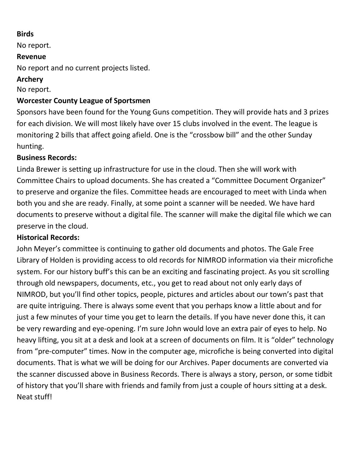### **Birds**

No report.

### **Revenue**

No report and no current projects listed.

### **Archery**

No report.

### **Worcester County League of Sportsmen**

Sponsors have been found for the Young Guns competition. They will provide hats and 3 prizes for each division. We will most likely have over 15 clubs involved in the event. The league is monitoring 2 bills that affect going afield. One is the "crossbow bill" and the other Sunday hunting.

### **Business Records:**

Linda Brewer is setting up infrastructure for use in the cloud. Then she will work with Committee Chairs to upload documents. She has created a "Committee Document Organizer" to preserve and organize the files. Committee heads are encouraged to meet with Linda when both you and she are ready. Finally, at some point a scanner will be needed. We have hard documents to preserve without a digital file. The scanner will make the digital file which we can preserve in the cloud.

### **Historical Records:**

John Meyer's committee is continuing to gather old documents and photos. The Gale Free Library of Holden is providing access to old records for NIMROD information via their microfiche system. For our history buff's this can be an exciting and fascinating project. As you sit scrolling through old newspapers, documents, etc., you get to read about not only early days of NIMROD, but you'll find other topics, people, pictures and articles about our town's past that are quite intriguing. There is always some event that you perhaps know a little about and for just a few minutes of your time you get to learn the details. If you have never done this, it can be very rewarding and eye-opening. I'm sure John would love an extra pair of eyes to help. No heavy lifting, you sit at a desk and look at a screen of documents on film. It is "older" technology from "pre-computer" times. Now in the computer age, microfiche is being converted into digital documents. That is what we will be doing for our Archives. Paper documents are converted via the scanner discussed above in Business Records. There is always a story, person, or some tidbit of history that you'll share with friends and family from just a couple of hours sitting at a desk. Neat stuff!